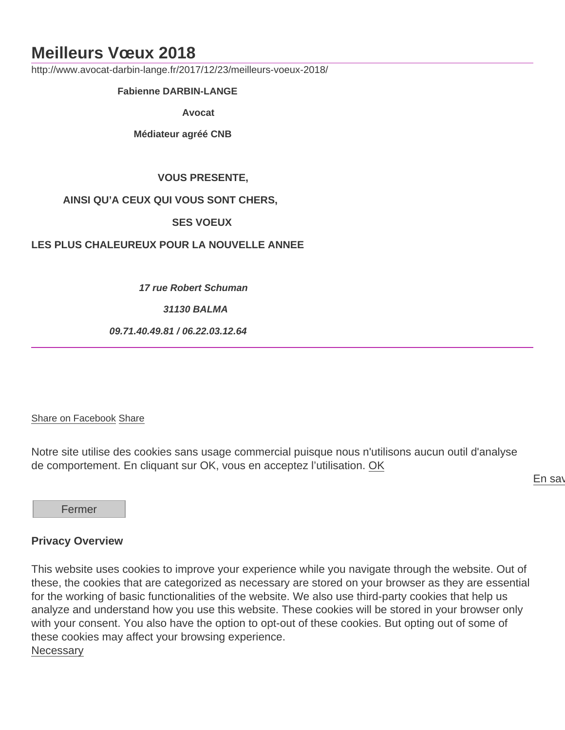## Meilleurs Vœux 2018

http://www.avocat-darbin-lange.fr/2017/12/23/meilleurs-voeux-2018/

Fabienne DARBIN-LANGE

Avocat

Médiateur agréé CNB

VOUS PRESENTE,

AINSI QU'A CEUX QUI VOUS SONT CHERS,

SES VOEUX

## LES PLUS CHALEUREUX POUR LA NOUVELLE ANNEE

17 rue Robert Schuman

31130 BALMA

09.71.40.49.81 / 06.22.03.12.64

## [Share on Facebook](https://www.facebook.com/sharer/sharer.php?u=http://www.avocat-darbin-lange.fr/2017/12/23/meilleurs-voeux-2018/) Share

Notre site utilise des cookies sans usage commercial puisque nous n'utilisons aucun outil d'analyse de comportement. En cliquant sur OK, vous en acceptez l'utilisation. OK

En say

Fermer

## Privacy Overview

This website uses cookies to improve your experience while you navigate through the website. Out of these, the cookies that are categorized as necessary are stored on your browser as they are essential for the working of basic functionalities of the website. We also use third-party cookies that help us analyze and understand how you use this website. These cookies will be stored in your browser only with your consent. You also have the option to opt-out of these cookies. But opting out of some of these cookies may affect your browsing experience. **Necessary**